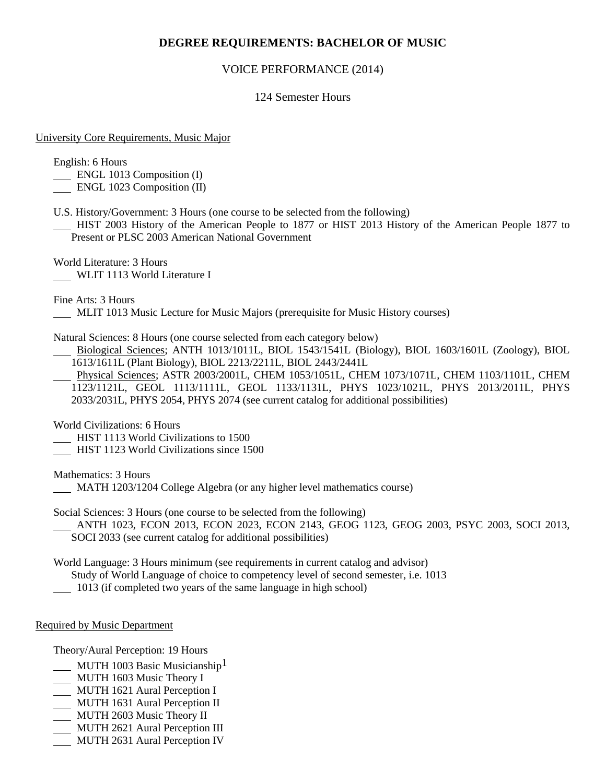# **DEGREE REQUIREMENTS: BACHELOR OF MUSIC**

## VOICE PERFORMANCE (2014)

## 124 Semester Hours

#### University Core Requirements, Music Major

English: 6 Hours

- ENGL 1013 Composition (I)
- ENGL 1023 Composition (II)
- U.S. History/Government: 3 Hours (one course to be selected from the following)
- HIST 2003 History of the American People to 1877 or HIST 2013 History of the American People 1877 to Present or PLSC 2003 American National Government

World Literature: 3 Hours WLIT 1113 World Literature I

Fine Arts: 3 Hours

MLIT 1013 Music Lecture for Music Majors (prerequisite for Music History courses)

Natural Sciences: 8 Hours (one course selected from each category below)

- Biological Sciences; ANTH 1013/1011L, BIOL 1543/1541L (Biology), BIOL 1603/1601L (Zoology), BIOL 1613/1611L (Plant Biology), BIOL 2213/2211L, BIOL 2443/2441L
- Physical Sciences; ASTR 2003/2001L, CHEM 1053/1051L, CHEM 1073/1071L, CHEM 1103/1101L, CHEM 1123/1121L, GEOL 1113/1111L, GEOL 1133/1131L, PHYS 1023/1021L, PHYS 2013/2011L, PHYS 2033/2031L, PHYS 2054, PHYS 2074 (see current catalog for additional possibilities)

World Civilizations: 6 Hours

- **HIST 1113 World Civilizations to 1500**
- HIST 1123 World Civilizations since 1500

Mathematics: 3 Hours

MATH 1203/1204 College Algebra (or any higher level mathematics course)

Social Sciences: 3 Hours (one course to be selected from the following)

 ANTH 1023, ECON 2013, ECON 2023, ECON 2143, GEOG 1123, GEOG 2003, PSYC 2003, SOCI 2013, SOCI 2033 (see current catalog for additional possibilities)

World Language: 3 Hours minimum (see requirements in current catalog and advisor)

Study of World Language of choice to competency level of second semester, i.e. 1013

1013 (if completed two years of the same language in high school)

### Required by Music Department

Theory/Aural Perception: 19 Hours

- MUTH 1003 Basic Musicianship<sup>1</sup>
- MUTH 1603 Music Theory I
- **MUTH 1621 Aural Perception I**
- MUTH 1631 Aural Perception II
- **MUTH 2603 Music Theory II**
- MUTH 2621 Aural Perception III
- MUTH 2631 Aural Perception IV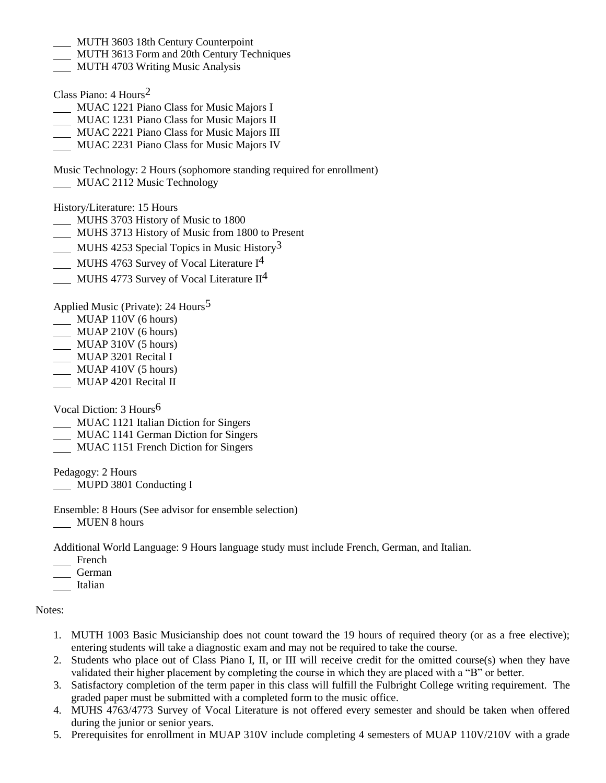- MUTH 3603 18th Century Counterpoint
- MUTH 3613 Form and 20th Century Techniques
- MUTH 4703 Writing Music Analysis
- Class Piano: 4 Hours2
- MUAC 1221 Piano Class for Music Majors I
- MUAC 1231 Piano Class for Music Majors II
- MUAC 2221 Piano Class for Music Majors III
- MUAC 2231 Piano Class for Music Majors IV

Music Technology: 2 Hours (sophomore standing required for enrollment) **MUAC 2112 Music Technology** 

History/Literature: 15 Hours

- MUHS 3703 History of Music to 1800
- MUHS 3713 History of Music from 1800 to Present
- MUHS 4253 Special Topics in Music History<sup>3</sup>
- MUHS 4763 Survey of Vocal Literature I<sup>4</sup>
- MUHS 4773 Survey of Vocal Literature II<sup>4</sup>

Applied Music (Private): 24 Hours<sup>5</sup>

- MUAP 110V (6 hours)
- MUAP 210V (6 hours)
- $\overline{\phantom{0}}$  MUAP 310V (5 hours)
- **MUAP 3201 Recital I**
- $MUAP$  410V (5 hours)
- MUAP 4201 Recital II

Vocal Diction: 3 Hours6

- MUAC 1121 Italian Diction for Singers
- MUAC 1141 German Diction for Singers
- MUAC 1151 French Diction for Singers

Pedagogy: 2 Hours MUPD 3801 Conducting I

Ensemble: 8 Hours (See advisor for ensemble selection) MUEN 8 hours

Additional World Language: 9 Hours language study must include French, German, and Italian.

- French
- German
- Italian

Notes:

- 1. MUTH 1003 Basic Musicianship does not count toward the 19 hours of required theory (or as a free elective); entering students will take a diagnostic exam and may not be required to take the course.
- 2. Students who place out of Class Piano I, II, or III will receive credit for the omitted course(s) when they have validated their higher placement by completing the course in which they are placed with a "B" or better.
- 3. Satisfactory completion of the term paper in this class will fulfill the Fulbright College writing requirement. The graded paper must be submitted with a completed form to the music office.
- 4. MUHS 4763/4773 Survey of Vocal Literature is not offered every semester and should be taken when offered during the junior or senior years.
- 5. Prerequisites for enrollment in MUAP 310V include completing 4 semesters of MUAP 110V/210V with a grade